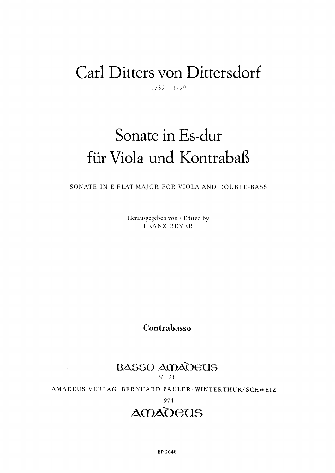## Carl Ditters von Dittersdorf

 $\bigcup$ 

 $1739 - 1799$ 

# Sonate in Es-dur für Viola und Kontrabaß

SONATE IN E FLAT MAJOR FOR VIOLA AND DOUBLE-BASS

Herausgegeben von / Edited by FRANZ BEYER

Contrabasso

### **BASSO AMADEUS**

Nr. 21

AMADEUS VERLAG·BERNHARD PÄULER·WINTERTHUR/SCHWEIZ

1974

### **AMADEUS**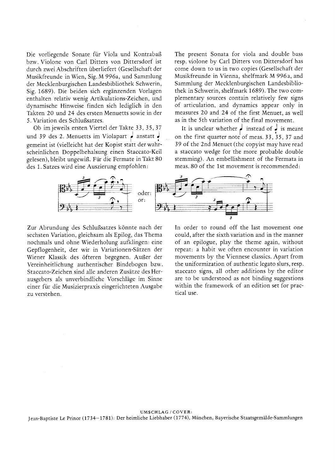Die vorliegende Sonate fùr Viola und Kontraba8 bzw. Violone von Carl Ditters von Dittersdorf ist durch zwei Abschriften ùberliefert (Gesellschaft der Musikfreunde in Wien, Sig. M 996a, und Sammlung der Mecklenburgischen Landesbibliothek Schwerin, Sig. 1ó89). Die beiden sich ergànzenden Vorlagen enthalten relativ wenig Artikulations-Zeichen, und dynamische Hinweise finden sich lediglich in den Takten 20 und 24 des ersten Menuetts sowie in der 5. Variation des SchluRsatzes.

Ob im jeweils ersten Viertel der Takte 33, 35,37 und 39 des 2. Menuetts im Violapart  $\frac{1}{2}$  anstatt  $\frac{1}{2}$ gemeint ist (vielleicht hat der Kopist statt der wahrscheinlichen Doppelbehalsung einen Staccato-Keil gelesen), bleibt ungewi8. Fúr die Fermate in Takt 80 des 1. Satzes wird eine Auszierung empfohlen:

The present Sonata for viola and double bass resp. violone by Carl Ditters von Dittersdorf has come down to us in two copies (Gesellschaft der Musikfreunde in Vienna, shelfmark M 996a, and Sammlung der Mecklenburgischen Landesbibliothek in Schwerin, shelfmark 1689). The two complementary sources contain relatively few signs of articulation, and dynamics appear only in measures 20 and 24 of the first Menuet, as well as in the 5th variation of the final movement.

It is unclear whether  $\frac{1}{2}$  instead of  $\frac{1}{2}$  is meant on the first quarter note of meas.  $33,35,37$  and 39 of the 2nd Menuet (the copyist may have read a staccato wedge for the more probable double stemming). An embellishment of the Fermata in meas. 80 of the 1st movement is recommended:



Zur Abrundung des SchluBsatzes kónnte nach der sechsten Variation, gleichsam als Epilog, das Thema nochmals und ohne Wiederholung autklingen: eine Gepflogenheit, der wir in Variationen-Sàtzen der Wiener Klassik des ófteren begegnen. Aul3er der Vereinheitlichung authentischer Bindebogen bzw. Staccato-Zeichen sind alle anderen Zusatze des Herausgebers als unverbindliche Vorschlàge im Sinne einer fùr die Musizierpraxis eingerichteten Ausgabe zu verstehen.

In order to round off the last movement one could, after the sixth variation and in the manner of an epilogue, play the theme agaín, without repeat: a habit we often encounter in variation movements by the Viennese classics. Apart from the uniformizatíon of authentic legato slurs, resp. staccato signs, all other additions by the editor are to be understood as not binding suggestions within the framework of an edition set for practical use.

UMSCHLAG / COVER: Jean-Baptiste Le Prince (I734-178t): Der heimliche Liebhaber (I774), Múnchen, Bayerische Staatsgemàlde-Sammlungen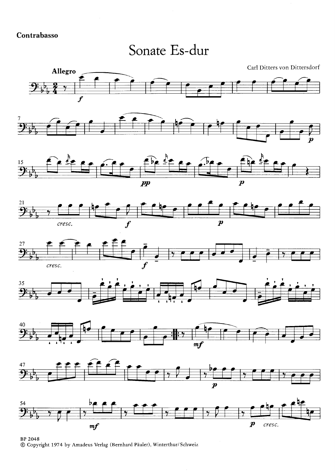Sonate Es-dur

Carl Ditters von Dittersdorf









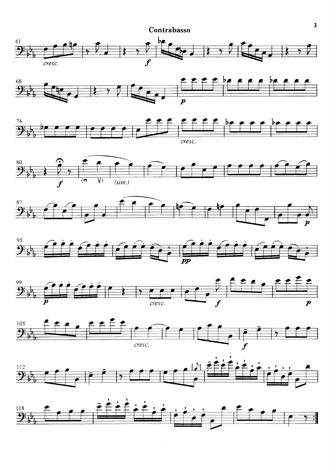

















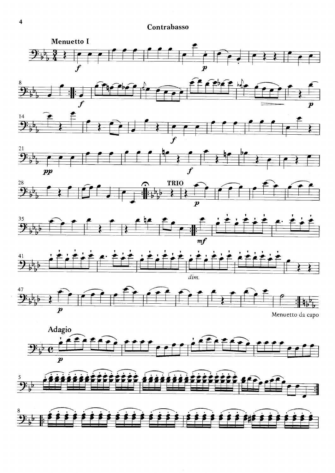



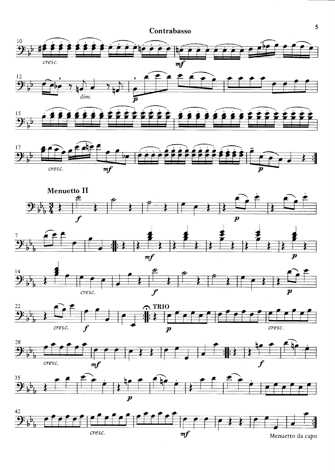















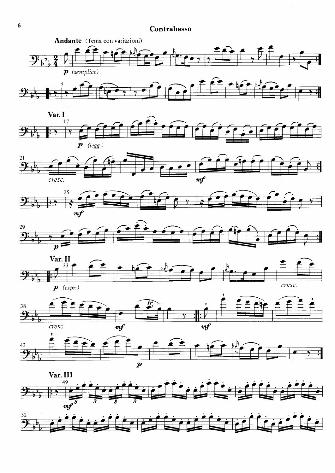